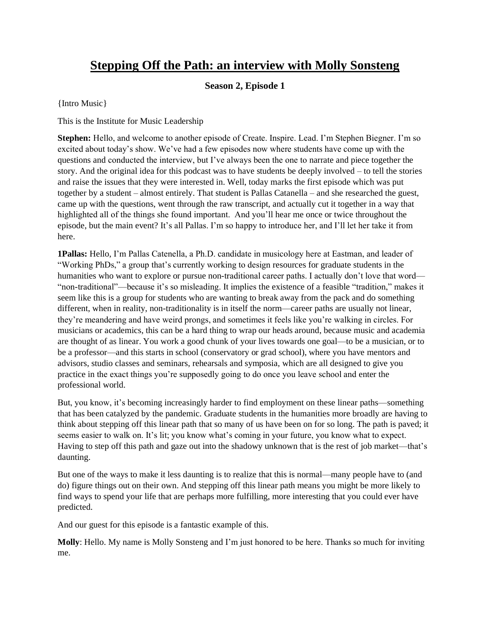## **Stepping Off the Path: an interview with Molly Sonsteng**

## **Season 2, Episode 1**

{Intro Music}

This is the Institute for Music Leadership

**Stephen:** Hello, and welcome to another episode of Create. Inspire. Lead. I'm Stephen Biegner. I'm so excited about today's show. We've had a few episodes now where students have come up with the questions and conducted the interview, but I've always been the one to narrate and piece together the story. And the original idea for this podcast was to have students be deeply involved – to tell the stories and raise the issues that they were interested in. Well, today marks the first episode which was put together by a student – almost entirely. That student is Pallas Catanella – and she researched the guest, came up with the questions, went through the raw transcript, and actually cut it together in a way that highlighted all of the things she found important. And you'll hear me once or twice throughout the episode, but the main event? It's all Pallas. I'm so happy to introduce her, and I'll let her take it from here.

**1Pallas:** Hello, I'm Pallas Catenella, a Ph.D. candidate in musicology here at Eastman, and leader of "Working PhDs," a group that's currently working to design resources for graduate students in the humanities who want to explore or pursue non-traditional career paths. I actually don't love that word— "non-traditional"—because it's so misleading. It implies the existence of a feasible "tradition," makes it seem like this is a group for students who are wanting to break away from the pack and do something different, when in reality, non-traditionality is in itself the norm—career paths are usually not linear, they're meandering and have weird prongs, and sometimes it feels like you're walking in circles. For musicians or academics, this can be a hard thing to wrap our heads around, because music and academia are thought of as linear. You work a good chunk of your lives towards one goal—to be a musician, or to be a professor—and this starts in school (conservatory or grad school), where you have mentors and advisors, studio classes and seminars, rehearsals and symposia, which are all designed to give you practice in the exact things you're supposedly going to do once you leave school and enter the professional world.

But, you know, it's becoming increasingly harder to find employment on these linear paths—something that has been catalyzed by the pandemic. Graduate students in the humanities more broadly are having to think about stepping off this linear path that so many of us have been on for so long. The path is paved; it seems easier to walk on. It's lit; you know what's coming in your future, you know what to expect. Having to step off this path and gaze out into the shadowy unknown that is the rest of job market—that's daunting.

But one of the ways to make it less daunting is to realize that this is normal—many people have to (and do) figure things out on their own. And stepping off this linear path means you might be more likely to find ways to spend your life that are perhaps more fulfilling, more interesting that you could ever have predicted.

And our guest for this episode is a fantastic example of this.

**Molly**: Hello. My name is Molly Sonsteng and I'm just honored to be here. Thanks so much for inviting me.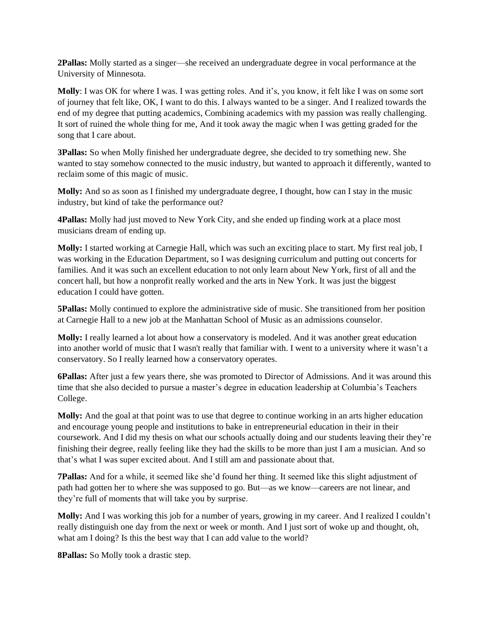**2Pallas:** Molly started as a singer—she received an undergraduate degree in vocal performance at the University of Minnesota.

**Molly**: I was OK for where I was. I was getting roles. And it's, you know, it felt like I was on some sort of journey that felt like, OK, I want to do this. I always wanted to be a singer. And I realized towards the end of my degree that putting academics, Combining academics with my passion was really challenging. It sort of ruined the whole thing for me, And it took away the magic when I was getting graded for the song that I care about.

**3Pallas:** So when Molly finished her undergraduate degree, she decided to try something new. She wanted to stay somehow connected to the music industry, but wanted to approach it differently, wanted to reclaim some of this magic of music.

**Molly:** And so as soon as I finished my undergraduate degree, I thought, how can I stay in the music industry, but kind of take the performance out?

**4Pallas:** Molly had just moved to New York City, and she ended up finding work at a place most musicians dream of ending up.

**Molly:** I started working at Carnegie Hall, which was such an exciting place to start. My first real job, I was working in the Education Department, so I was designing curriculum and putting out concerts for families. And it was such an excellent education to not only learn about New York, first of all and the concert hall, but how a nonprofit really worked and the arts in New York. It was just the biggest education I could have gotten.

**5Pallas:** Molly continued to explore the administrative side of music. She transitioned from her position at Carnegie Hall to a new job at the Manhattan School of Music as an admissions counselor.

**Molly:** I really learned a lot about how a conservatory is modeled. And it was another great education into another world of music that I wasn't really that familiar with. I went to a university where it wasn't a conservatory. So I really learned how a conservatory operates.

**6Pallas:** After just a few years there, she was promoted to Director of Admissions. And it was around this time that she also decided to pursue a master's degree in education leadership at Columbia's Teachers College.

**Molly:** And the goal at that point was to use that degree to continue working in an arts higher education and encourage young people and institutions to bake in entrepreneurial education in their in their coursework. And I did my thesis on what our schools actually doing and our students leaving their they're finishing their degree, really feeling like they had the skills to be more than just I am a musician. And so that's what I was super excited about. And I still am and passionate about that.

**7Pallas:** And for a while, it seemed like she'd found her thing. It seemed like this slight adjustment of path had gotten her to where she was supposed to go. But—as we know—careers are not linear, and they're full of moments that will take you by surprise.

**Molly:** And I was working this job for a number of years, growing in my career. And I realized I couldn't really distinguish one day from the next or week or month. And I just sort of woke up and thought, oh, what am I doing? Is this the best way that I can add value to the world?

**8Pallas:** So Molly took a drastic step.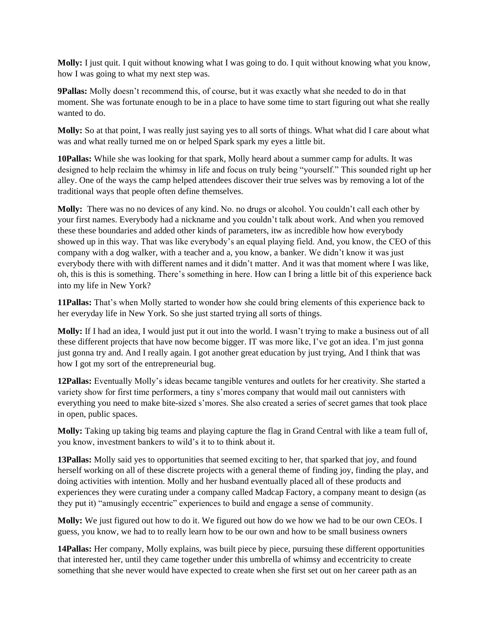**Molly:** I just quit. I quit without knowing what I was going to do. I quit without knowing what you know, how I was going to what my next step was.

**9Pallas:** Molly doesn't recommend this, of course, but it was exactly what she needed to do in that moment. She was fortunate enough to be in a place to have some time to start figuring out what she really wanted to do.

**Molly:** So at that point, I was really just saying yes to all sorts of things. What what did I care about what was and what really turned me on or helped Spark spark my eyes a little bit.

**10Pallas:** While she was looking for that spark, Molly heard about a summer camp for adults. It was designed to help reclaim the whimsy in life and focus on truly being "yourself." This sounded right up her alley. One of the ways the camp helped attendees discover their true selves was by removing a lot of the traditional ways that people often define themselves.

**Molly:** There was no no devices of any kind. No. no drugs or alcohol. You couldn't call each other by your first names. Everybody had a nickname and you couldn't talk about work. And when you removed these these boundaries and added other kinds of parameters, itw as incredible how how everybody showed up in this way. That was like everybody's an equal playing field. And, you know, the CEO of this company with a dog walker, with a teacher and a, you know, a banker. We didn't know it was just everybody there with with different names and it didn't matter. And it was that moment where I was like, oh, this is this is something. There's something in here. How can I bring a little bit of this experience back into my life in New York?

**11Pallas:** That's when Molly started to wonder how she could bring elements of this experience back to her everyday life in New York. So she just started trying all sorts of things.

**Molly:** If I had an idea, I would just put it out into the world. I wasn't trying to make a business out of all these different projects that have now become bigger. IT was more like, I've got an idea. I'm just gonna just gonna try and. And I really again. I got another great education by just trying, And I think that was how I got my sort of the entrepreneurial bug.

**12Pallas:** Eventually Molly's ideas became tangible ventures and outlets for her creativity. She started a variety show for first time performers, a tiny s'mores company that would mail out cannisters with everything you need to make bite-sized s'mores. She also created a series of secret games that took place in open, public spaces.

**Molly:** Taking up taking big teams and playing capture the flag in Grand Central with like a team full of, you know, investment bankers to wild's it to to think about it.

**13Pallas:** Molly said yes to opportunities that seemed exciting to her, that sparked that joy, and found herself working on all of these discrete projects with a general theme of finding joy, finding the play, and doing activities with intention. Molly and her husband eventually placed all of these products and experiences they were curating under a company called Madcap Factory, a company meant to design (as they put it) "amusingly eccentric" experiences to build and engage a sense of community.

**Molly:** We just figured out how to do it. We figured out how do we how we had to be our own CEOs. I guess, you know, we had to to really learn how to be our own and how to be small business owners

**14Pallas:** Her company, Molly explains, was built piece by piece, pursuing these different opportunities that interested her, until they came together under this umbrella of whimsy and eccentricity to create something that she never would have expected to create when she first set out on her career path as an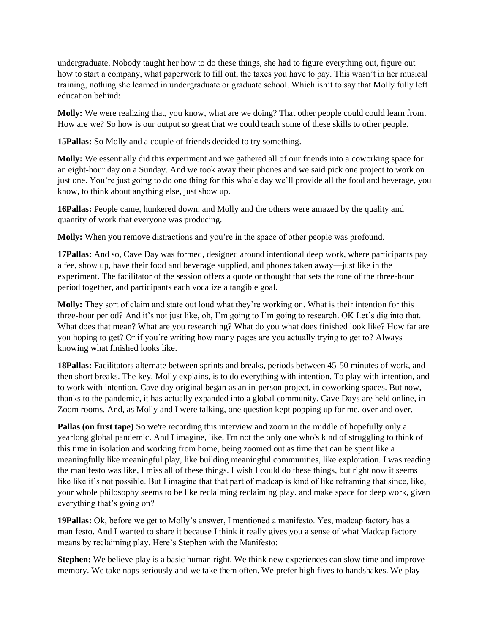undergraduate. Nobody taught her how to do these things, she had to figure everything out, figure out how to start a company, what paperwork to fill out, the taxes you have to pay. This wasn't in her musical training, nothing she learned in undergraduate or graduate school. Which isn't to say that Molly fully left education behind:

**Molly:** We were realizing that, you know, what are we doing? That other people could could learn from. How are we? So how is our output so great that we could teach some of these skills to other people.

**15Pallas:** So Molly and a couple of friends decided to try something.

**Molly:** We essentially did this experiment and we gathered all of our friends into a coworking space for an eight-hour day on a Sunday. And we took away their phones and we said pick one project to work on just one. You're just going to do one thing for this whole day we'll provide all the food and beverage, you know, to think about anything else, just show up.

**16Pallas:** People came, hunkered down, and Molly and the others were amazed by the quality and quantity of work that everyone was producing.

**Molly:** When you remove distractions and you're in the space of other people was profound.

**17Pallas:** And so, Cave Day was formed, designed around intentional deep work, where participants pay a fee, show up, have their food and beverage supplied, and phones taken away—just like in the experiment. The facilitator of the session offers a quote or thought that sets the tone of the three-hour period together, and participants each vocalize a tangible goal.

**Molly:** They sort of claim and state out loud what they're working on. What is their intention for this three-hour period? And it's not just like, oh, I'm going to I'm going to research. OK Let's dig into that. What does that mean? What are you researching? What do you what does finished look like? How far are you hoping to get? Or if you're writing how many pages are you actually trying to get to? Always knowing what finished looks like.

**18Pallas:** Facilitators alternate between sprints and breaks, periods between 45-50 minutes of work, and then short breaks. The key, Molly explains, is to do everything with intention. To play with intention, and to work with intention. Cave day original began as an in-person project, in coworking spaces. But now, thanks to the pandemic, it has actually expanded into a global community. Cave Days are held online, in Zoom rooms. And, as Molly and I were talking, one question kept popping up for me, over and over.

**Pallas (on first tape)** So we're recording this interview and zoom in the middle of hopefully only a yearlong global pandemic. And I imagine, like, I'm not the only one who's kind of struggling to think of this time in isolation and working from home, being zoomed out as time that can be spent like a meaningfully like meaningful play, like building meaningful communities, like exploration. I was reading the manifesto was like, I miss all of these things. I wish I could do these things, but right now it seems like like it's not possible. But I imagine that that part of madcap is kind of like reframing that since, like, your whole philosophy seems to be like reclaiming reclaiming play. and make space for deep work, given everything that's going on?

**19Pallas:** Ok, before we get to Molly's answer, I mentioned a manifesto. Yes, madcap factory has a manifesto. And I wanted to share it because I think it really gives you a sense of what Madcap factory means by reclaiming play. Here's Stephen with the Manifesto:

**Stephen:** We believe play is a basic human right. We think new experiences can slow time and improve memory. We take naps seriously and we take them often. We prefer high fives to handshakes. We play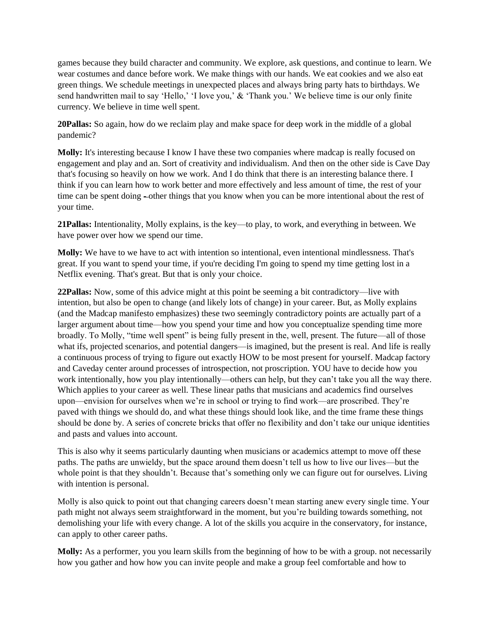games because they build character and community. We explore, ask questions, and continue to learn. We wear costumes and dance before work. We make things with our hands. We eat cookies and we also eat green things. We schedule meetings in unexpected places and always bring party hats to birthdays. We send handwritten mail to say 'Hello,' 'I love you,' & 'Thank you.' We believe time is our only finite currency. We believe in time well spent.

**20Pallas:** So again, how do we reclaim play and make space for deep work in the middle of a global pandemic?

**Molly:** It's interesting because I know I have these two companies where madcap is really focused on engagement and play and an. Sort of creativity and individualism. And then on the other side is Cave Day that's focusing so heavily on how we work. And I do think that there is an interesting balance there. I think if you can learn how to work better and more effectively and less amount of time, the rest of your time can be spent doing -other things that you know when you can be more intentional about the rest of your time.

**21Pallas:** Intentionality, Molly explains, is the key—to play, to work, and everything in between. We have power over how we spend our time.

**Molly:** We have to we have to act with intention so intentional, even intentional mindlessness. That's great. If you want to spend your time, if you're deciding I'm going to spend my time getting lost in a Netflix evening. That's great. But that is only your choice.

**22Pallas:** Now, some of this advice might at this point be seeming a bit contradictory—live with intention, but also be open to change (and likely lots of change) in your career. But, as Molly explains (and the Madcap manifesto emphasizes) these two seemingly contradictory points are actually part of a larger argument about time—how you spend your time and how you conceptualize spending time more broadly. To Molly, "time well spent" is being fully present in the, well, present. The future—all of those what ifs, projected scenarios, and potential dangers—is imagined, but the present is real. And life is really a continuous process of trying to figure out exactly HOW to be most present for yourself. Madcap factory and Caveday center around processes of introspection, not proscription. YOU have to decide how you work intentionally, how you play intentionally—others can help, but they can't take you all the way there. Which applies to your career as well. These linear paths that musicians and academics find ourselves upon—envision for ourselves when we're in school or trying to find work—are proscribed. They're paved with things we should do, and what these things should look like, and the time frame these things should be done by. A series of concrete bricks that offer no flexibility and don't take our unique identities and pasts and values into account.

This is also why it seems particularly daunting when musicians or academics attempt to move off these paths. The paths are unwieldy, but the space around them doesn't tell us how to live our lives—but the whole point is that they shouldn't. Because that's something only we can figure out for ourselves. Living with intention is personal.

Molly is also quick to point out that changing careers doesn't mean starting anew every single time. Your path might not always seem straightforward in the moment, but you're building towards something, not demolishing your life with every change. A lot of the skills you acquire in the conservatory, for instance, can apply to other career paths.

**Molly:** As a performer, you you learn skills from the beginning of how to be with a group. not necessarily how you gather and how how you can invite people and make a group feel comfortable and how to